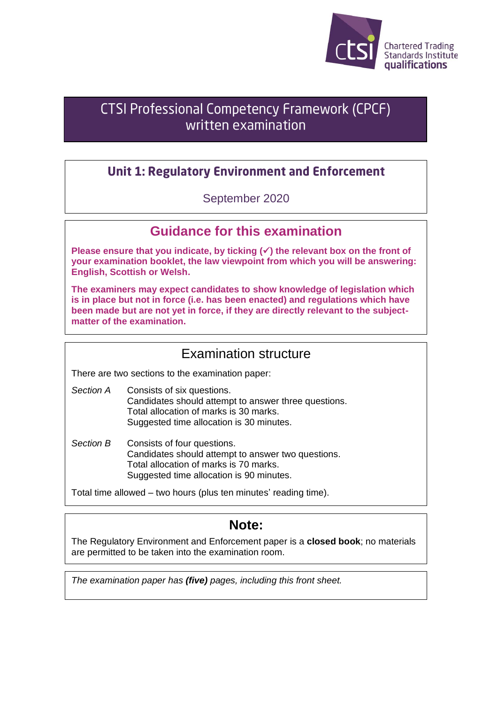

# **CTSI Professional Competency Framework (CPCF)** written examination

# **Unit 1: Regulatory Environment and Enforcement**

### September 2020

## **Guidance for this examination**

**Please ensure that you indicate, by ticking (**✓**) the relevant box on the front of your examination booklet, the law viewpoint from which you will be answering: English, Scottish or Welsh.**

**The examiners may expect candidates to show knowledge of legislation which is in place but not in force (i.e. has been enacted) and regulations which have been made but are not yet in force, if they are directly relevant to the subjectmatter of the examination.**

### Examination structure

There are two sections to the examination paper:

- *Section A* Consists of six questions. Candidates should attempt to answer three questions. Total allocation of marks is 30 marks. Suggested time allocation is 30 minutes.
- *Section B* Consists of four questions. Candidates should attempt to answer two questions. Total allocation of marks is 70 marks. Suggested time allocation is 90 minutes.

Total time allowed – two hours (plus ten minutes' reading time).

# **Note:**

The Regulatory Environment and Enforcement paper is a **closed book**; no materials are permitted to be taken into the examination room.

*The examination paper has (five) pages, including this front sheet.*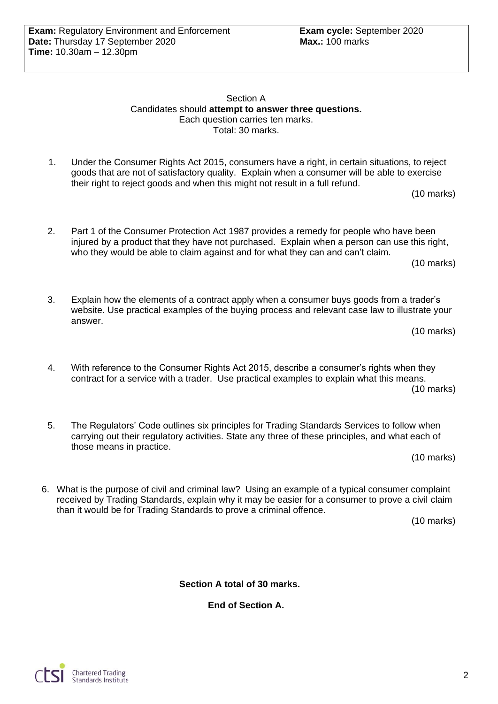Section A Candidates should **attempt to answer three questions.** Each question carries ten marks. Total: 30 marks.

1. Under the Consumer Rights Act 2015, consumers have a right, in certain situations, to reject goods that are not of satisfactory quality. Explain when a consumer will be able to exercise their right to reject goods and when this might not result in a full refund.

(10 marks)

2. Part 1 of the Consumer Protection Act 1987 provides a remedy for people who have been injured by a product that they have not purchased. Explain when a person can use this right, who they would be able to claim against and for what they can and can't claim.

(10 marks)

3. Explain how the elements of a contract apply when a consumer buys goods from a trader's website. Use practical examples of the buying process and relevant case law to illustrate your answer.

(10 marks)

- 4. With reference to the Consumer Rights Act 2015, describe a consumer's rights when they contract for a service with a trader. Use practical examples to explain what this means. (10 marks)
- 5. The Regulators' Code outlines six principles for Trading Standards Services to follow when carrying out their regulatory activities. State any three of these principles, and what each of those means in practice.

(10 marks)

6. What is the purpose of civil and criminal law? Using an example of a typical consumer complaint received by Trading Standards, explain why it may be easier for a consumer to prove a civil claim than it would be for Trading Standards to prove a criminal offence.

(10 marks)

**Section A total of 30 marks.**

**End of Section A.**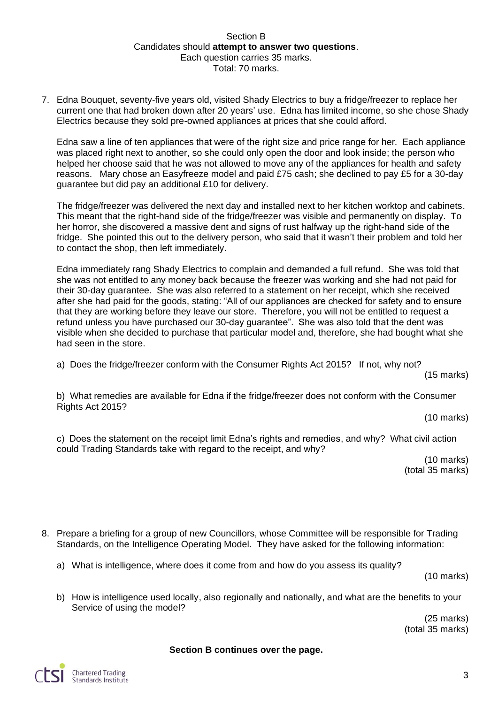#### Section B Candidates should **attempt to answer two questions**. Each question carries 35 marks. Total: 70 marks.

7. Edna Bouquet, seventy-five years old, visited Shady Electrics to buy a fridge/freezer to replace her current one that had broken down after 20 years' use. Edna has limited income, so she chose Shady Electrics because they sold pre-owned appliances at prices that she could afford.

Edna saw a line of ten appliances that were of the right size and price range for her. Each appliance was placed right next to another, so she could only open the door and look inside; the person who helped her choose said that he was not allowed to move any of the appliances for health and safety reasons. Mary chose an Easyfreeze model and paid £75 cash; she declined to pay £5 for a 30-day guarantee but did pay an additional £10 for delivery.

The fridge/freezer was delivered the next day and installed next to her kitchen worktop and cabinets. This meant that the right-hand side of the fridge/freezer was visible and permanently on display. To her horror, she discovered a massive dent and signs of rust halfway up the right-hand side of the fridge. She pointed this out to the delivery person, who said that it wasn't their problem and told her to contact the shop, then left immediately.

Edna immediately rang Shady Electrics to complain and demanded a full refund. She was told that she was not entitled to any money back because the freezer was working and she had not paid for their 30-day guarantee. She was also referred to a statement on her receipt, which she received after she had paid for the goods, stating: "All of our appliances are checked for safety and to ensure that they are working before they leave our store. Therefore, you will not be entitled to request a refund unless you have purchased our 30-day guarantee". She was also told that the dent was visible when she decided to purchase that particular model and, therefore, she had bought what she had seen in the store.

a) Does the fridge/freezer conform with the Consumer Rights Act 2015? If not, why not?

(15 marks)

b) What remedies are available for Edna if the fridge/freezer does not conform with the Consumer Rights Act 2015?

(10 marks)

c) Does the statement on the receipt limit Edna's rights and remedies, and why? What civil action could Trading Standards take with regard to the receipt, and why?

(10 marks) (total 35 marks)

- 8. Prepare a briefing for a group of new Councillors, whose Committee will be responsible for Trading Standards, on the Intelligence Operating Model. They have asked for the following information:
	- a) What is intelligence, where does it come from and how do you assess its quality?

(10 marks)

b) How is intelligence used locally, also regionally and nationally, and what are the benefits to your Service of using the model?

(25 marks) (total 35 marks)

#### **Section B continues over the page.**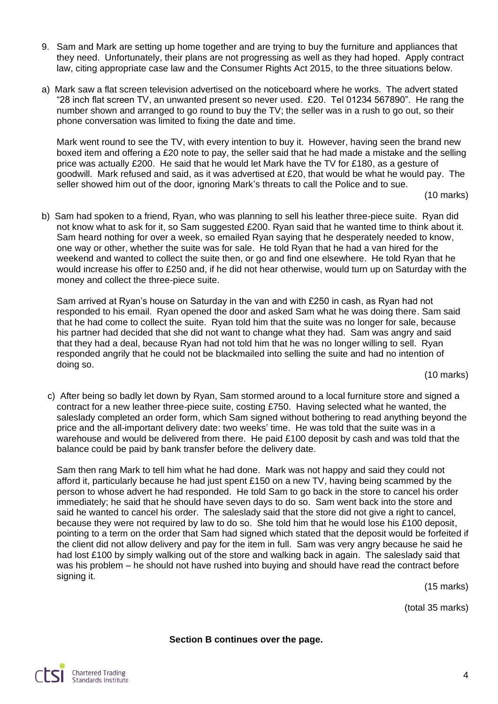- 9. Sam and Mark are setting up home together and are trying to buy the furniture and appliances that they need. Unfortunately, their plans are not progressing as well as they had hoped. Apply contract law, citing appropriate case law and the Consumer Rights Act 2015, to the three situations below.
- a) Mark saw a flat screen television advertised on the noticeboard where he works. The advert stated "28 inch flat screen TV, an unwanted present so never used. £20. Tel 01234 567890". He rang the number shown and arranged to go round to buy the TV; the seller was in a rush to go out, so their phone conversation was limited to fixing the date and time.

Mark went round to see the TV, with every intention to buy it. However, having seen the brand new boxed item and offering a £20 note to pay, the seller said that he had made a mistake and the selling price was actually £200. He said that he would let Mark have the TV for £180, as a gesture of goodwill. Mark refused and said, as it was advertised at £20, that would be what he would pay. The seller showed him out of the door, ignoring Mark's threats to call the Police and to sue.

(10 marks)

b) Sam had spoken to a friend, Ryan, who was planning to sell his leather three-piece suite. Ryan did not know what to ask for it, so Sam suggested £200. Ryan said that he wanted time to think about it. Sam heard nothing for over a week, so emailed Ryan saying that he desperately needed to know, one way or other, whether the suite was for sale. He told Ryan that he had a van hired for the weekend and wanted to collect the suite then, or go and find one elsewhere. He told Ryan that he would increase his offer to £250 and, if he did not hear otherwise, would turn up on Saturday with the money and collect the three-piece suite.

Sam arrived at Ryan's house on Saturday in the van and with £250 in cash, as Ryan had not responded to his email. Ryan opened the door and asked Sam what he was doing there. Sam said that he had come to collect the suite. Ryan told him that the suite was no longer for sale, because his partner had decided that she did not want to change what they had. Sam was angry and said that they had a deal, because Ryan had not told him that he was no longer willing to sell. Ryan responded angrily that he could not be blackmailed into selling the suite and had no intention of doing so.

(10 marks)

c) After being so badly let down by Ryan, Sam stormed around to a local furniture store and signed a contract for a new leather three-piece suite, costing £750. Having selected what he wanted, the saleslady completed an order form, which Sam signed without bothering to read anything beyond the price and the all-important delivery date: two weeks' time. He was told that the suite was in a warehouse and would be delivered from there. He paid £100 deposit by cash and was told that the balance could be paid by bank transfer before the delivery date.

Sam then rang Mark to tell him what he had done. Mark was not happy and said they could not afford it, particularly because he had just spent £150 on a new TV, having being scammed by the person to whose advert he had responded. He told Sam to go back in the store to cancel his order immediately; he said that he should have seven days to do so. Sam went back into the store and said he wanted to cancel his order. The saleslady said that the store did not give a right to cancel, because they were not required by law to do so. She told him that he would lose his £100 deposit, pointing to a term on the order that Sam had signed which stated that the deposit would be forfeited if the client did not allow delivery and pay for the item in full. Sam was very angry because he said he had lost £100 by simply walking out of the store and walking back in again. The saleslady said that was his problem – he should not have rushed into buying and should have read the contract before signing it.

(15 marks)

(total 35 marks)

**Section B continues over the page.**